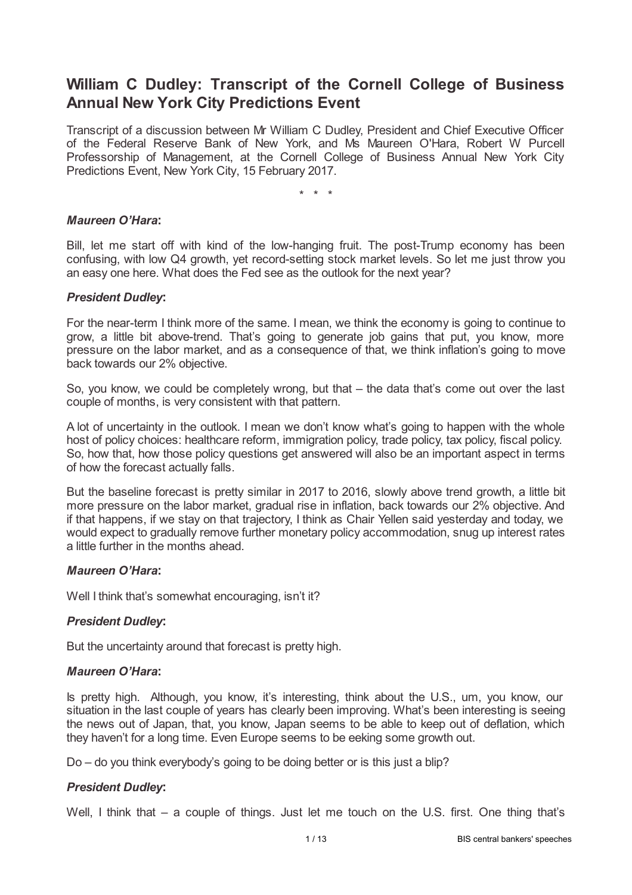# **William C Dudley: Transcript of the Cornell College of Business Annual New York City Predictions Event**

Transcript of a discussion between Mr William C Dudley, President and Chief Executive Officer of the Federal Reserve Bank of New York, and Ms Maureen O'Hara, Robert W Purcell Professorship of Management, at the Cornell College of Business Annual New York City Predictions Event, New York City, 15 February 2017.

\* \* \*

### *Maureen O'Hara***:**

Bill, let me start off with kind of the low-hanging fruit. The post-Trump economy has been confusing, with low Q4 growth, yet record-setting stock market levels. So let me just throw you an easy one here. What does the Fed see as the outlook for the next year?

### *President Dudley***:**

For the near-term I think more of the same. I mean, we think the economy is going to continue to grow, a little bit above-trend. That's going to generate job gains that put, you know, more pressure on the labor market, and as a consequence of that, we think inflation's going to move back towards our 2% objective.

So, you know, we could be completely wrong, but that – the data that's come out over the last couple of months, is very consistent with that pattern.

A lot of uncertainty in the outlook. I mean we don't know what's going to happen with the whole host of policy choices: healthcare reform, immigration policy, trade policy, tax policy, fiscal policy. So, how that, how those policy questions get answered will also be an important aspect in terms of how the forecast actually falls.

But the baseline forecast is pretty similar in 2017 to 2016, slowly above trend growth, a little bit more pressure on the labor market, gradual rise in inflation, back towards our 2% objective. And if that happens, if we stay on that trajectory, I think as Chair Yellen said yesterday and today, we would expect to gradually remove further monetary policy accommodation, snug up interest rates a little further in the months ahead.

## *Maureen O'Hara***:**

Well I think that's somewhat encouraging, isn't it?

## *President Dudley***:**

But the uncertainty around that forecast is pretty high.

#### *Maureen O'Hara***:**

Is pretty high. Although, you know, it's interesting, think about the U.S., um, you know, our situation in the last couple of years has clearly been improving. What's been interesting is seeing the news out of Japan, that, you know, Japan seems to be able to keep out of deflation, which they haven't for a long time. Even Europe seems to be eeking some growth out.

Do – do you think everybody's going to be doing better or is this just a blip?

## *President Dudley***:**

Well, I think that – a couple of things. Just let me touch on the U.S. first. One thing that's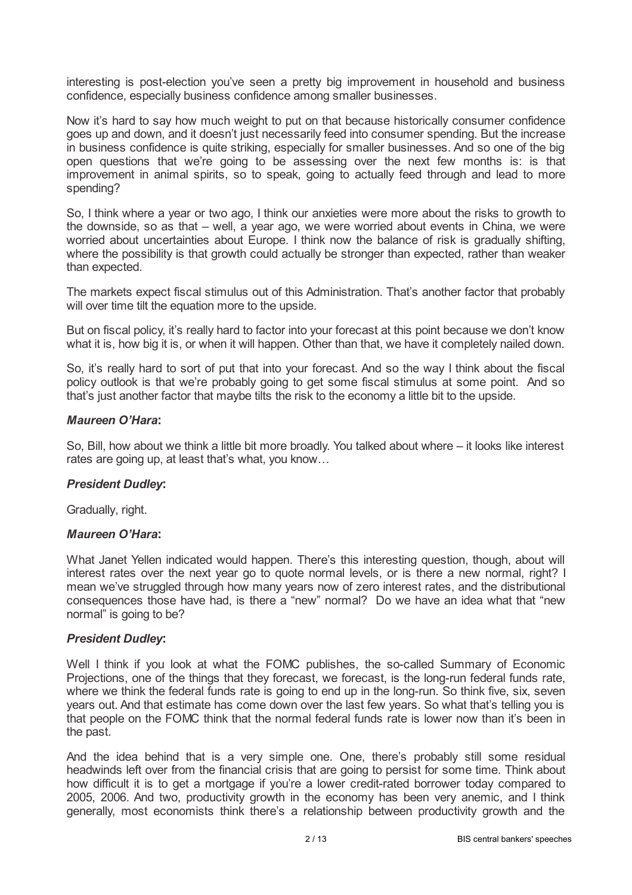interesting is post-election you've seen a pretty big improvement in household and business confidence, especially business confidence among smaller businesses.

Now it's hard to say how much weight to put on that because historically consumer confidence goes up and down, and it doesn't just necessarily feed into consumer spending. But the increase in business confidence is quite striking, especially for smaller businesses. And so one of the big open questions that we're going to be assessing over the next few months is: is that improvement in animal spirits, so to speak, going to actually feed through and lead to more spending?

So, I think where a year or two ago, I think our anxieties were more about the risks to growth to the downside, so as that – well, a year ago, we were worried about events in China, we were worried about uncertainties about Europe. I think now the balance of risk is gradually shifting, where the possibility is that growth could actually be stronger than expected, rather than weaker than expected.

The markets expect fiscal stimulus out of this Administration. That's another factor that probably will over time tilt the equation more to the upside.

But on fiscal policy, it's really hard to factor into your forecast at this point because we don't know what it is, how big it is, or when it will happen. Other than that, we have it completely nailed down.

So, it's really hard to sort of put that into your forecast. And so the way I think about the fiscal policy outlook is that we're probably going to get some fiscal stimulus at some point. And so that's just another factor that maybe tilts the risk to the economy a little bit to the upside.

## *Maureen O'Hara***:**

So, Bill, how about we think a little bit more broadly. You talked about where – it looks like interest rates are going up, at least that's what, you know…

## *President Dudley***:**

Gradually, right.

## *Maureen O'Hara***:**

What Janet Yellen indicated would happen. There's this interesting question, though, about will interest rates over the next year go to quote normal levels, or is there a new normal, right? I mean we've struggled through how many years now of zero interest rates, and the distributional consequences those have had, is there a "new" normal? Do we have an idea what that "new normal" is going to be?

## *President Dudley***:**

Well I think if you look at what the FOMC publishes, the so-called Summary of Economic Projections, one of the things that they forecast, we forecast, is the long-run federal funds rate, where we think the federal funds rate is going to end up in the long-run. So think five, six, seven years out. And that estimate has come down over the last few years. So what that's telling you is that people on the FOMC think that the normal federal funds rate is lower now than it's been in the past.

And the idea behind that is a very simple one. One, there's probably still some residual headwinds left over from the financial crisis that are going to persist for some time. Think about how difficult it is to get a mortgage if you're a lower credit-rated borrower today compared to 2005, 2006. And two, productivity growth in the economy has been very anemic, and I think generally, most economists think there's a relationship between productivity growth and the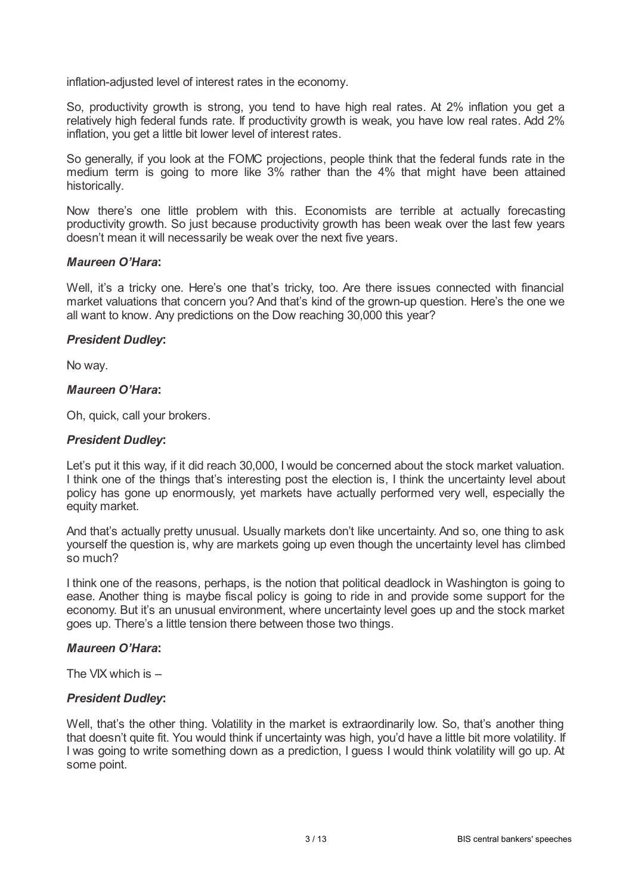inflation-adjusted level of interest rates in the economy.

So, productivity growth is strong, you tend to have high real rates. At 2% inflation you get a relatively high federal funds rate. If productivity growth is weak, you have low real rates. Add 2% inflation, you get a little bit lower level of interest rates.

So generally, if you look at the FOMC projections, people think that the federal funds rate in the medium term is going to more like 3% rather than the 4% that might have been attained historically.

Now there's one little problem with this. Economists are terrible at actually forecasting productivity growth. So just because productivity growth has been weak over the last few years doesn't mean it will necessarily be weak over the next five years.

### *Maureen O'Hara***:**

Well, it's a tricky one. Here's one that's tricky, too. Are there issues connected with financial market valuations that concern you? And that's kind of the grown-up question. Here's the one we all want to know. Any predictions on the Dow reaching 30,000 this year?

### *President Dudley***:**

No way.

# *Maureen O'Hara***:**

Oh, quick, call your brokers.

### *President Dudley***:**

Let's put it this way, if it did reach 30,000, I would be concerned about the stock market valuation. I think one of the things that's interesting post the election is, I think the uncertainty level about policy has gone up enormously, yet markets have actually performed very well, especially the equity market.

And that's actually pretty unusual. Usually markets don't like uncertainty. And so, one thing to ask yourself the question is, why are markets going up even though the uncertainty level has climbed so much?

I think one of the reasons, perhaps, is the notion that political deadlock in Washington is going to ease. Another thing is maybe fiscal policy is going to ride in and provide some support for the economy. But it's an unusual environment, where uncertainty level goes up and the stock market goes up. There's a little tension there between those two things.

#### *Maureen O'Hara***:**

The VIX which is –

## *President Dudley***:**

Well, that's the other thing. Volatility in the market is extraordinarily low. So, that's another thing that doesn't quite fit. You would think if uncertainty was high, you'd have a little bit more volatility. If I was going to write something down as a prediction, I guess I would think volatility will go up. At some point.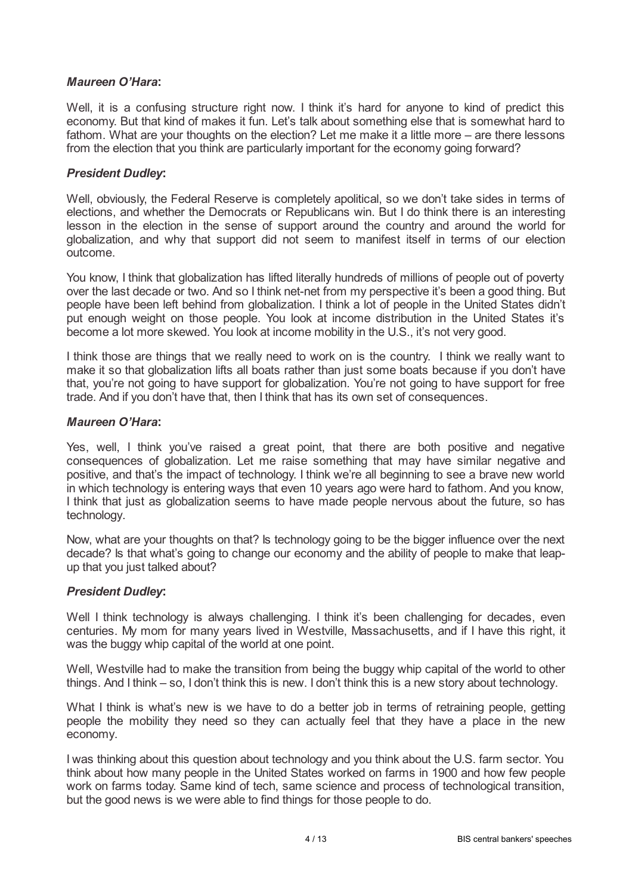# *Maureen O'Hara***:**

Well, it is a confusing structure right now. I think it's hard for anyone to kind of predict this economy. But that kind of makes it fun. Let's talk about something else that is somewhat hard to fathom. What are your thoughts on the election? Let me make it a little more – are there lessons from the election that you think are particularly important for the economy going forward?

# *President Dudley***:**

Well, obviously, the Federal Reserve is completely apolitical, so we don't take sides in terms of elections, and whether the Democrats or Republicans win. But I do think there is an interesting lesson in the election in the sense of support around the country and around the world for globalization, and why that support did not seem to manifest itself in terms of our election outcome.

You know, I think that globalization has lifted literally hundreds of millions of people out of poverty over the last decade or two. And so I think net-net from my perspective it's been a good thing. But people have been left behind from globalization. I think a lot of people in the United States didn't put enough weight on those people. You look at income distribution in the United States it's become a lot more skewed. You look at income mobility in the U.S., it's not very good.

I think those are things that we really need to work on is the country. I think we really want to make it so that globalization lifts all boats rather than just some boats because if you don't have that, you're not going to have support for globalization. You're not going to have support for free trade. And if you don't have that, then I think that has its own set of consequences.

## *Maureen O'Hara***:**

Yes, well, I think you've raised a great point, that there are both positive and negative consequences of globalization. Let me raise something that may have similar negative and positive, and that's the impact of technology. I think we're all beginning to see a brave new world in which technology is entering ways that even 10 years ago were hard to fathom. And you know, I think that just as globalization seems to have made people nervous about the future, so has technology.

Now, what are your thoughts on that? Is technology going to be the bigger influence over the next decade? Is that what's going to change our economy and the ability of people to make that leapup that you just talked about?

# *President Dudley***:**

Well I think technology is always challenging. I think it's been challenging for decades, even centuries. My mom for many years lived in Westville, Massachusetts, and if I have this right, it was the buggy whip capital of the world at one point.

Well, Westville had to make the transition from being the buggy whip capital of the world to other things. And I think – so, I don't think this is new. I don't think this is a new story about technology.

What I think is what's new is we have to do a better job in terms of retraining people, getting people the mobility they need so they can actually feel that they have a place in the new economy.

I was thinking about this question about technology and you think about the U.S. farm sector. You think about how many people in the United States worked on farms in 1900 and how few people work on farms today. Same kind of tech, same science and process of technological transition, but the good news is we were able to find things for those people to do.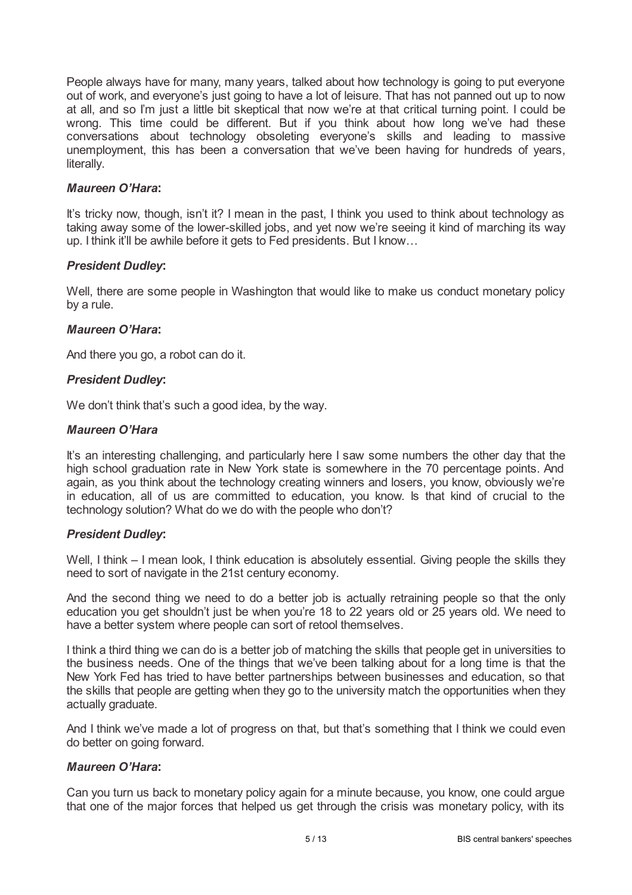People always have for many, many years, talked about how technology is going to put everyone out of work, and everyone's just going to have a lot of leisure. That has not panned out up to now at all, and so I'm just a little bit skeptical that now we're at that critical turning point. I could be wrong. This time could be different. But if you think about how long we've had these conversations about technology obsoleting everyone's skills and leading to massive unemployment, this has been a conversation that we've been having for hundreds of years, literally.

## *Maureen O'Hara***:**

It's tricky now, though, isn't it? I mean in the past, I think you used to think about technology as taking away some of the lower-skilled jobs, and yet now we're seeing it kind of marching its way up. I think it'll be awhile before it gets to Fed presidents. But I know…

### *President Dudley***:**

Well, there are some people in Washington that would like to make us conduct monetary policy by a rule.

### *Maureen O'Hara***:**

And there you go, a robot can do it.

### *President Dudley***:**

We don't think that's such a good idea, by the way.

### *Maureen O'Hara*

It's an interesting challenging, and particularly here I saw some numbers the other day that the high school graduation rate in New York state is somewhere in the 70 percentage points. And again, as you think about the technology creating winners and losers, you know, obviously we're in education, all of us are committed to education, you know. Is that kind of crucial to the technology solution? What do we do with the people who don't?

#### *President Dudley***:**

Well, I think – I mean look, I think education is absolutely essential. Giving people the skills they need to sort of navigate in the 21st century economy.

And the second thing we need to do a better job is actually retraining people so that the only education you get shouldn't just be when you're 18 to 22 years old or 25 years old. We need to have a better system where people can sort of retool themselves.

I think a third thing we can do is a better job of matching the skills that people get in universities to the business needs. One of the things that we've been talking about for a long time is that the New York Fed has tried to have better partnerships between businesses and education, so that the skills that people are getting when they go to the university match the opportunities when they actually graduate.

And I think we've made a lot of progress on that, but that's something that I think we could even do better on going forward.

#### *Maureen O'Hara***:**

Can you turn us back to monetary policy again for a minute because, you know, one could argue that one of the major forces that helped us get through the crisis was monetary policy, with its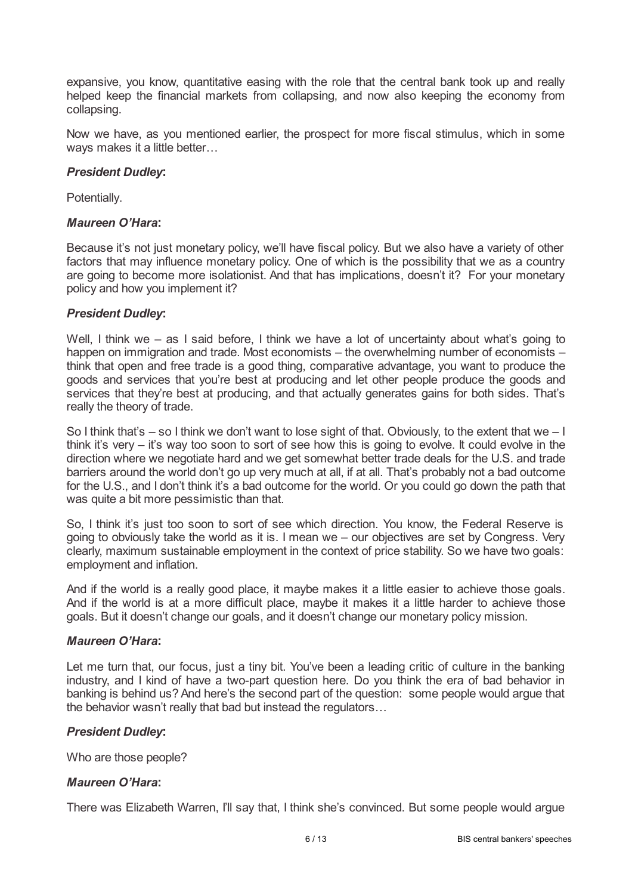expansive, you know, quantitative easing with the role that the central bank took up and really helped keep the financial markets from collapsing, and now also keeping the economy from collapsing.

Now we have, as you mentioned earlier, the prospect for more fiscal stimulus, which in some ways makes it a little better...

# *President Dudley***:**

Potentially.

# *Maureen O'Hara***:**

Because it's not just monetary policy, we'll have fiscal policy. But we also have a variety of other factors that may influence monetary policy. One of which is the possibility that we as a country are going to become more isolationist. And that has implications, doesn't it? For your monetary policy and how you implement it?

# *President Dudley***:**

Well, I think we – as I said before, I think we have a lot of uncertainty about what's going to happen on immigration and trade. Most economists – the overwhelming number of economists – think that open and free trade is a good thing, comparative advantage, you want to produce the goods and services that you're best at producing and let other people produce the goods and services that they're best at producing, and that actually generates gains for both sides. That's really the theory of trade.

So I think that's  $-$  so I think we don't want to lose sight of that. Obviously, to the extent that we  $-1$ think it's very – it's way too soon to sort of see how this is going to evolve. It could evolve in the direction where we negotiate hard and we get somewhat better trade deals for the U.S. and trade barriers around the world don't go up very much at all, if at all. That's probably not a bad outcome for the U.S., and I don't think it's a bad outcome for the world. Or you could go down the path that was quite a bit more pessimistic than that.

So, I think it's just too soon to sort of see which direction. You know, the Federal Reserve is going to obviously take the world as it is. I mean we – our objectives are set by Congress. Very clearly, maximum sustainable employment in the context of price stability. So we have two goals: employment and inflation.

And if the world is a really good place, it maybe makes it a little easier to achieve those goals. And if the world is at a more difficult place, maybe it makes it a little harder to achieve those goals. But it doesn't change our goals, and it doesn't change our monetary policy mission.

## *Maureen O'Hara***:**

Let me turn that, our focus, just a tiny bit. You've been a leading critic of culture in the banking industry, and I kind of have a two-part question here. Do you think the era of bad behavior in banking is behind us? And here's the second part of the question: some people would argue that the behavior wasn't really that bad but instead the regulators…

# *President Dudley***:**

Who are those people?

## *Maureen O'Hara***:**

There was Elizabeth Warren, I'll say that, I think she's convinced. But some people would argue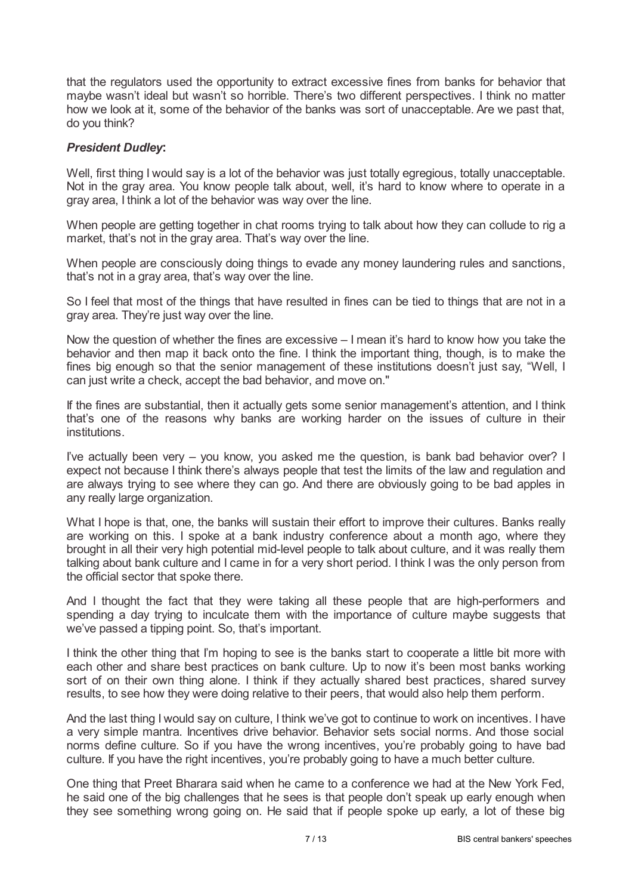that the regulators used the opportunity to extract excessive fines from banks for behavior that maybe wasn't ideal but wasn't so horrible. There's two different perspectives. I think no matter how we look at it, some of the behavior of the banks was sort of unacceptable. Are we past that, do you think?

# *President Dudley***:**

Well, first thing I would say is a lot of the behavior was just totally egregious, totally unacceptable. Not in the gray area. You know people talk about, well, it's hard to know where to operate in a gray area, I think a lot of the behavior was way over the line.

When people are getting together in chat rooms trying to talk about how they can collude to rig a market, that's not in the gray area. That's way over the line.

When people are consciously doing things to evade any money laundering rules and sanctions, that's not in a gray area, that's way over the line.

So I feel that most of the things that have resulted in fines can be tied to things that are not in a gray area. They're just way over the line.

Now the question of whether the fines are excessive – I mean it's hard to know how you take the behavior and then map it back onto the fine. I think the important thing, though, is to make the fines big enough so that the senior management of these institutions doesn't just say, "Well, I can just write a check, accept the bad behavior, and move on."

If the fines are substantial, then it actually gets some senior management's attention, and I think that's one of the reasons why banks are working harder on the issues of culture in their institutions.

I've actually been very – you know, you asked me the question, is bank bad behavior over? I expect not because I think there's always people that test the limits of the law and regulation and are always trying to see where they can go. And there are obviously going to be bad apples in any really large organization.

What I hope is that, one, the banks will sustain their effort to improve their cultures. Banks really are working on this. I spoke at a bank industry conference about a month ago, where they brought in all their very high potential mid-level people to talk about culture, and it was really them talking about bank culture and I came in for a very short period. I think I was the only person from the official sector that spoke there.

And I thought the fact that they were taking all these people that are high-performers and spending a day trying to inculcate them with the importance of culture maybe suggests that we've passed a tipping point. So, that's important.

I think the other thing that I'm hoping to see is the banks start to cooperate a little bit more with each other and share best practices on bank culture. Up to now it's been most banks working sort of on their own thing alone. I think if they actually shared best practices, shared survey results, to see how they were doing relative to their peers, that would also help them perform.

And the last thing I would say on culture, I think we've got to continue to work on incentives. I have a very simple mantra. Incentives drive behavior. Behavior sets social norms. And those social norms define culture. So if you have the wrong incentives, you're probably going to have bad culture. If you have the right incentives, you're probably going to have a much better culture.

One thing that Preet Bharara said when he came to a conference we had at the New York Fed, he said one of the big challenges that he sees is that people don't speak up early enough when they see something wrong going on. He said that if people spoke up early, a lot of these big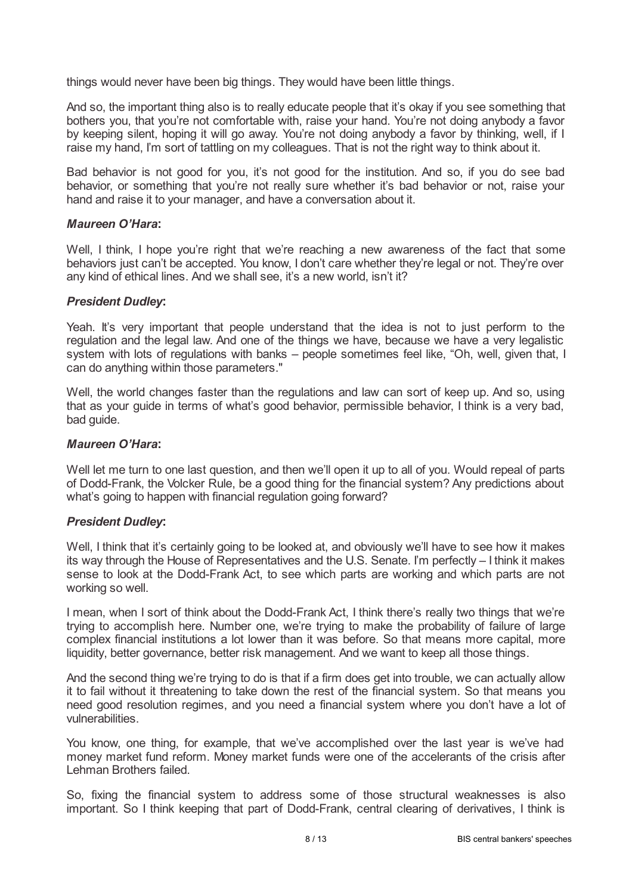things would never have been big things. They would have been little things.

And so, the important thing also is to really educate people that it's okay if you see something that bothers you, that you're not comfortable with, raise your hand. You're not doing anybody a favor by keeping silent, hoping it will go away. You're not doing anybody a favor by thinking, well, if I raise my hand, I'm sort of tattling on my colleagues. That is not the right way to think about it.

Bad behavior is not good for you, it's not good for the institution. And so, if you do see bad behavior, or something that you're not really sure whether it's bad behavior or not, raise your hand and raise it to your manager, and have a conversation about it.

### *Maureen O'Hara***:**

Well, I think, I hope you're right that we're reaching a new awareness of the fact that some behaviors just can't be accepted. You know, I don't care whether they're legal or not. They're over any kind of ethical lines. And we shall see, it's a new world, isn't it?

### *President Dudley***:**

Yeah. It's very important that people understand that the idea is not to just perform to the regulation and the legal law. And one of the things we have, because we have a very legalistic system with lots of regulations with banks – people sometimes feel like, "Oh, well, given that, I can do anything within those parameters."

Well, the world changes faster than the regulations and law can sort of keep up. And so, using that as your guide in terms of what's good behavior, permissible behavior, I think is a very bad, bad guide.

#### *Maureen O'Hara***:**

Well let me turn to one last question, and then we'll open it up to all of you. Would repeal of parts of Dodd-Frank, the Volcker Rule, be a good thing for the financial system? Any predictions about what's going to happen with financial regulation going forward?

#### *President Dudley***:**

Well, I think that it's certainly going to be looked at, and obviously we'll have to see how it makes its way through the House of Representatives and the U.S. Senate. I'm perfectly – I think it makes sense to look at the Dodd-Frank Act, to see which parts are working and which parts are not working so well.

I mean, when I sort of think about the Dodd-Frank Act, I think there's really two things that we're trying to accomplish here. Number one, we're trying to make the probability of failure of large complex financial institutions a lot lower than it was before. So that means more capital, more liquidity, better governance, better risk management. And we want to keep all those things.

And the second thing we're trying to do is that if a firm does get into trouble, we can actually allow it to fail without it threatening to take down the rest of the financial system. So that means you need good resolution regimes, and you need a financial system where you don't have a lot of vulnerabilities.

You know, one thing, for example, that we've accomplished over the last year is we've had money market fund reform. Money market funds were one of the accelerants of the crisis after Lehman Brothers failed.

So, fixing the financial system to address some of those structural weaknesses is also important. So I think keeping that part of Dodd-Frank, central clearing of derivatives, I think is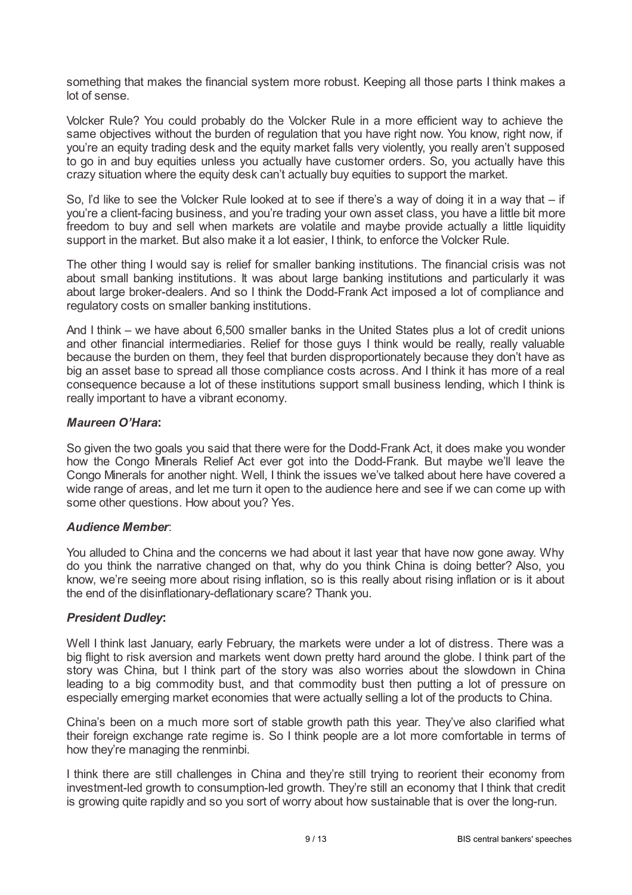something that makes the financial system more robust. Keeping all those parts I think makes a lot of sense.

Volcker Rule? You could probably do the Volcker Rule in a more efficient way to achieve the same objectives without the burden of regulation that you have right now. You know, right now, if you're an equity trading desk and the equity market falls very violently, you really aren't supposed to go in and buy equities unless you actually have customer orders. So, you actually have this crazy situation where the equity desk can't actually buy equities to support the market.

So, I'd like to see the Volcker Rule looked at to see if there's a way of doing it in a way that – if you're a client-facing business, and you're trading your own asset class, you have a little bit more freedom to buy and sell when markets are volatile and maybe provide actually a little liquidity support in the market. But also make it a lot easier, I think, to enforce the Volcker Rule.

The other thing I would say is relief for smaller banking institutions. The financial crisis was not about small banking institutions. It was about large banking institutions and particularly it was about large broker-dealers. And so I think the Dodd-Frank Act imposed a lot of compliance and regulatory costs on smaller banking institutions.

And I think – we have about 6,500 smaller banks in the United States plus a lot of credit unions and other financial intermediaries. Relief for those guys I think would be really, really valuable because the burden on them, they feel that burden disproportionately because they don't have as big an asset base to spread all those compliance costs across. And I think it has more of a real consequence because a lot of these institutions support small business lending, which I think is really important to have a vibrant economy.

# *Maureen O'Hara***:**

So given the two goals you said that there were for the Dodd-Frank Act, it does make you wonder how the Congo Minerals Relief Act ever got into the Dodd-Frank. But maybe we'll leave the Congo Minerals for another night. Well, I think the issues we've talked about here have covered a wide range of areas, and let me turn it open to the audience here and see if we can come up with some other questions. How about you? Yes.

## *Audience Member*:

You alluded to China and the concerns we had about it last year that have now gone away. Why do you think the narrative changed on that, why do you think China is doing better? Also, you know, we're seeing more about rising inflation, so is this really about rising inflation or is it about the end of the disinflationary-deflationary scare? Thank you.

## *President Dudley***:**

Well I think last January, early February, the markets were under a lot of distress. There was a big flight to risk aversion and markets went down pretty hard around the globe. I think part of the story was China, but I think part of the story was also worries about the slowdown in China leading to a big commodity bust, and that commodity bust then putting a lot of pressure on especially emerging market economies that were actually selling a lot of the products to China.

China's been on a much more sort of stable growth path this year. They've also clarified what their foreign exchange rate regime is. So I think people are a lot more comfortable in terms of how they're managing the renminbi.

I think there are still challenges in China and they're still trying to reorient their economy from investment-led growth to consumption-led growth. They're still an economy that I think that credit is growing quite rapidly and so you sort of worry about how sustainable that is over the long-run.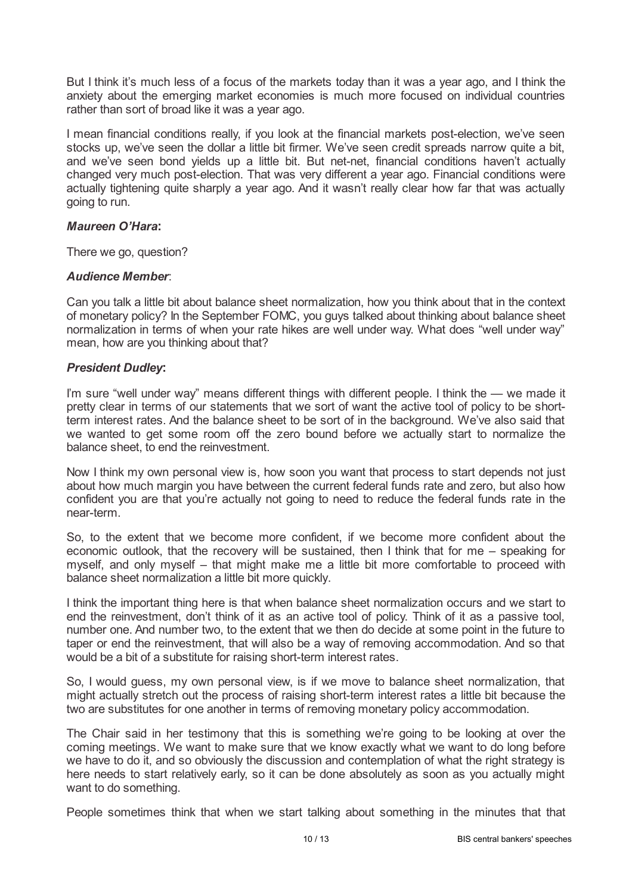But I think it's much less of a focus of the markets today than it was a year ago, and I think the anxiety about the emerging market economies is much more focused on individual countries rather than sort of broad like it was a year ago.

I mean financial conditions really, if you look at the financial markets post-election, we've seen stocks up, we've seen the dollar a little bit firmer. We've seen credit spreads narrow quite a bit, and we've seen bond yields up a little bit. But net-net, financial conditions haven't actually changed very much post-election. That was very different a year ago. Financial conditions were actually tightening quite sharply a year ago. And it wasn't really clear how far that was actually going to run.

### *Maureen O'Hara***:**

There we go, question?

## *Audience Member*:

Can you talk a little bit about balance sheet normalization, how you think about that in the context of monetary policy? In the September FOMC, you guys talked about thinking about balance sheet normalization in terms of when your rate hikes are well under way. What does "well under way" mean, how are you thinking about that?

## *President Dudley***:**

I'm sure "well under way" means different things with different people. I think the — we made it pretty clear in terms of our statements that we sort of want the active tool of policy to be shortterm interest rates. And the balance sheet to be sort of in the background. We've also said that we wanted to get some room off the zero bound before we actually start to normalize the balance sheet, to end the reinvestment.

Now I think my own personal view is, how soon you want that process to start depends not just about how much margin you have between the current federal funds rate and zero, but also how confident you are that you're actually not going to need to reduce the federal funds rate in the near-term.

So, to the extent that we become more confident, if we become more confident about the economic outlook, that the recovery will be sustained, then I think that for me – speaking for myself, and only myself – that might make me a little bit more comfortable to proceed with balance sheet normalization a little bit more quickly.

I think the important thing here is that when balance sheet normalization occurs and we start to end the reinvestment, don't think of it as an active tool of policy. Think of it as a passive tool, number one. And number two, to the extent that we then do decide at some point in the future to taper or end the reinvestment, that will also be a way of removing accommodation. And so that would be a bit of a substitute for raising short-term interest rates.

So, I would guess, my own personal view, is if we move to balance sheet normalization, that might actually stretch out the process of raising short-term interest rates a little bit because the two are substitutes for one another in terms of removing monetary policy accommodation.

The Chair said in her testimony that this is something we're going to be looking at over the coming meetings. We want to make sure that we know exactly what we want to do long before we have to do it, and so obviously the discussion and contemplation of what the right strategy is here needs to start relatively early, so it can be done absolutely as soon as you actually might want to do something.

People sometimes think that when we start talking about something in the minutes that that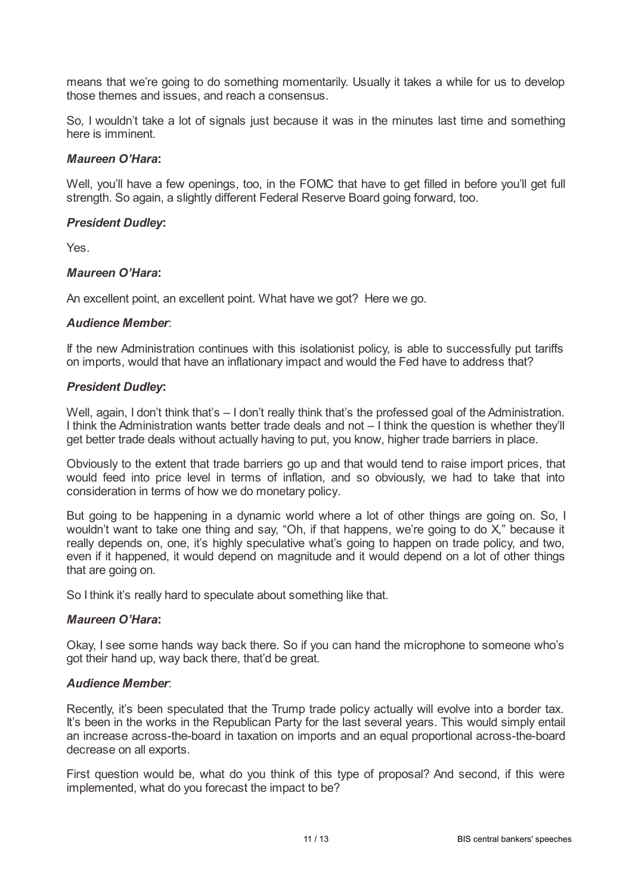means that we're going to do something momentarily. Usually it takes a while for us to develop those themes and issues, and reach a consensus.

So, I wouldn't take a lot of signals just because it was in the minutes last time and something here is imminent.

### *Maureen O'Hara***:**

Well, you'll have a few openings, too, in the FOMC that have to get filled in before you'll get full strength. So again, a slightly different Federal Reserve Board going forward, too.

### *President Dudley***:**

Yes.

### *Maureen O'Hara***:**

An excellent point, an excellent point. What have we got? Here we go.

### *Audience Member*:

If the new Administration continues with this isolationist policy, is able to successfully put tariffs on imports, would that have an inflationary impact and would the Fed have to address that?

### *President Dudley***:**

Well, again, I don't think that's - I don't really think that's the professed goal of the Administration. I think the Administration wants better trade deals and not – I think the question is whether they'll get better trade deals without actually having to put, you know, higher trade barriers in place.

Obviously to the extent that trade barriers go up and that would tend to raise import prices, that would feed into price level in terms of inflation, and so obviously, we had to take that into consideration in terms of how we do monetary policy.

But going to be happening in a dynamic world where a lot of other things are going on. So, I wouldn't want to take one thing and say, "Oh, if that happens, we're going to do X," because it really depends on, one, it's highly speculative what's going to happen on trade policy, and two, even if it happened, it would depend on magnitude and it would depend on a lot of other things that are going on.

So I think it's really hard to speculate about something like that.

#### *Maureen O'Hara***:**

Okay, I see some hands way back there. So if you can hand the microphone to someone who's got their hand up, way back there, that'd be great.

#### *Audience Member*:

Recently, it's been speculated that the Trump trade policy actually will evolve into a border tax. It's been in the works in the Republican Party for the last several years. This would simply entail an increase across-the-board in taxation on imports and an equal proportional across-the-board decrease on all exports.

First question would be, what do you think of this type of proposal? And second, if this were implemented, what do you forecast the impact to be?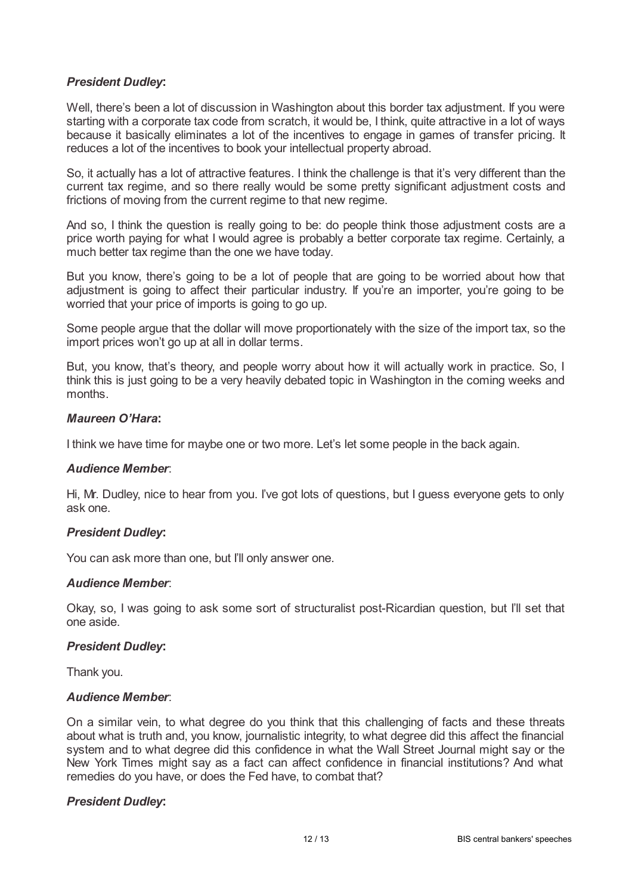# *President Dudley***:**

Well, there's been a lot of discussion in Washington about this border tax adjustment. If you were starting with a corporate tax code from scratch, it would be, I think, quite attractive in a lot of ways because it basically eliminates a lot of the incentives to engage in games of transfer pricing. It reduces a lot of the incentives to book your intellectual property abroad.

So, it actually has a lot of attractive features. I think the challenge is that it's very different than the current tax regime, and so there really would be some pretty significant adjustment costs and frictions of moving from the current regime to that new regime.

And so, I think the question is really going to be: do people think those adjustment costs are a price worth paying for what I would agree is probably a better corporate tax regime. Certainly, a much better tax regime than the one we have today.

But you know, there's going to be a lot of people that are going to be worried about how that adjustment is going to affect their particular industry. If you're an importer, you're going to be worried that your price of imports is going to go up.

Some people argue that the dollar will move proportionately with the size of the import tax, so the import prices won't go up at all in dollar terms.

But, you know, that's theory, and people worry about how it will actually work in practice. So, I think this is just going to be a very heavily debated topic in Washington in the coming weeks and months.

### *Maureen O'Hara***:**

I think we have time for maybe one or two more. Let's let some people in the back again.

## *Audience Member*:

Hi, Mr. Dudley, nice to hear from you. I've got lots of questions, but I guess everyone gets to only ask one.

## *President Dudley***:**

You can ask more than one, but I'll only answer one.

#### *Audience Member*:

Okay, so, I was going to ask some sort of structuralist post-Ricardian question, but I'll set that one aside.

## *President Dudley***:**

Thank you.

#### *Audience Member*:

On a similar vein, to what degree do you think that this challenging of facts and these threats about what is truth and, you know, journalistic integrity, to what degree did this affect the financial system and to what degree did this confidence in what the Wall Street Journal might say or the New York Times might say as a fact can affect confidence in financial institutions? And what remedies do you have, or does the Fed have, to combat that?

## *President Dudley***:**